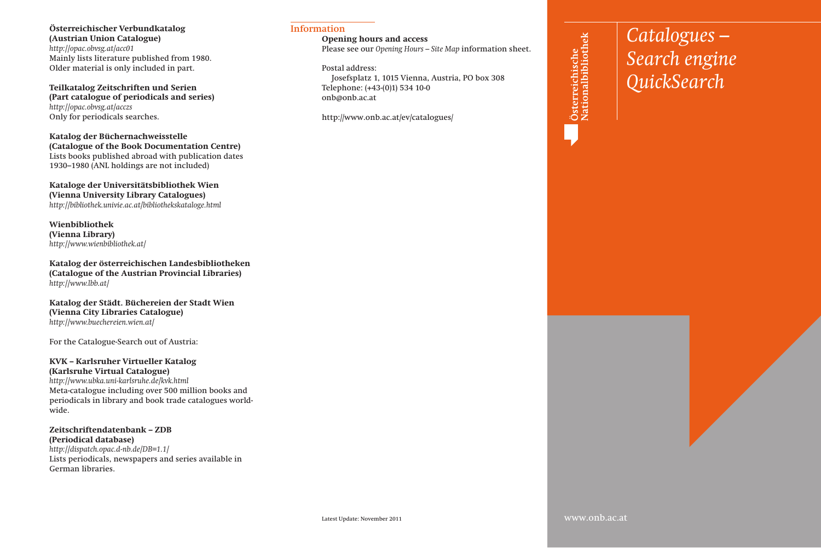#### **Österreichischer Verbundkatalog (Austrian Union Catalogue)** *http://opac.obvsg.at/acc01*

Mainly lists literature published from 1980. Older material is only included in part.

**Teilkatalog Zeitschriften und Serien (Part catalogue of periodicals and series)** *http://opac.obvsg.at/acczs* Only for periodicals searches.

**Katalog der Büchernachweisstelle (Catalogue of the Book Documentation Centre)** Lists books published abroad with publication dates 1930–1980 (ANL holdings are not included)

**Kataloge der Universitätsbibliothek Wien (Vienna University Library Catalogues)** *http://bibliothek.univie.ac.at/bibliothekskataloge.html*

**Wienbibliothek (Vienna Library)** *http://www.wienbibliothek.at/*

**Katalog der österreichischen Landesbibliotheken (Catalogue of the Austrian Provincial Libraries)** *http://www.lbb.at/*

**Katalog der Städt. Büchereien der Stadt Wien (Vienna City Libraries Catalogue)** *http://www.buechereien.wien.at/*

For the Catalogue-Search out of Austria:

#### **KVK – Karlsruher Virtueller Katalog (Karlsruhe Virtual Catalogue)**

*http://www.ubka.uni-karlsruhe.de/kvk.html* Meta-catalogue including over 500 million books and periodicals in library and book trade catalogues worldwide.

**Zeitschriftendatenbank – ZDB (Periodical database)** *http://dispatch.opac.d-nb.de/DB=1.1/*  Lists periodicals, newspapers and series available in German libraries.

#### **Opening hours and access**

Please see our *Opening Hours – Site Map* information sheet.

Postal address: Josefsplatz 1, 1015 Vienna, Austria, PO box 308 Telephone: (+43-(0)1) 534 10-0 onb@onb.ac.at

http://www.onb.ac.at/ev/catalogues/

 $\frac{L}{2}$   $\frac{L}{2}$   $\frac{L}{2}$   $\frac{L}{2}$   $\frac{L}{2}$   $\frac{L}{2}$   $\frac{L}{2}$   $\frac{L}{2}$   $\frac{L}{2}$   $\frac{L}{2}$   $\frac{L}{2}$   $\frac{L}{2}$   $\frac{L}{2}$   $\frac{L}{2}$   $\frac{L}{2}$   $\frac{L}{2}$   $\frac{L}{2}$   $\frac{L}{2}$   $\frac{L}{2}$   $\frac{L}{2}$   $\frac{L}{2}$   $\frac{L}{2}$  *Lesen Sie nicht weiter Search engine QuickSearch*